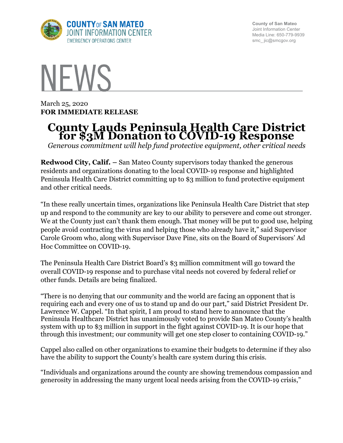

**County of San Mateo** Joint Information Center Media Line: 650-779-9939 smc\_ jic@smcgov.org

## **NFWS**

March 25, 2020 **FOR IMMEDIATE RELEASE**

## **County Lauds Peninsula Health Care District for \$3M Donation to COVID-19 Response**

*Generous commitment will help fund protective equipment, other critical needs*

**Redwood City, Calif. –** San Mateo County supervisors today thanked the generous residents and organizations donating to the local COVID-19 response and highlighted Peninsula Health Care District committing up to \$3 million to fund protective equipment and other critical needs.

"In these really uncertain times, organizations like Peninsula Health Care District that step up and respond to the community are key to our ability to persevere and come out stronger. We at the County just can't thank them enough. That money will be put to good use, helping people avoid contracting the virus and helping those who already have it," said Supervisor Carole Groom who, along with Supervisor Dave Pine, sits on the Board of Supervisors' Ad Hoc Committee on COVID-19.

The Peninsula Health Care District Board's \$3 million commitment will go toward the overall COVID-19 response and to purchase vital needs not covered by federal relief or other funds. Details are being finalized.

"There is no denying that our community and the world are facing an opponent that is requiring each and every one of us to stand up and do our part," said District President Dr. Lawrence W. Cappel. "In that spirit, I am proud to stand here to announce that the Peninsula Healthcare District has unanimously voted to provide San Mateo County's health system with up to \$3 million in support in the fight against COVID-19. It is our hope that through this investment; our community will get one step closer to containing COVID-19."

Cappel also called on other organizations to examine their budgets to determine if they also have the ability to support the County's health care system during this crisis.

"Individuals and organizations around the county are showing tremendous compassion and generosity in addressing the many urgent local needs arising from the COVID-19 crisis,"